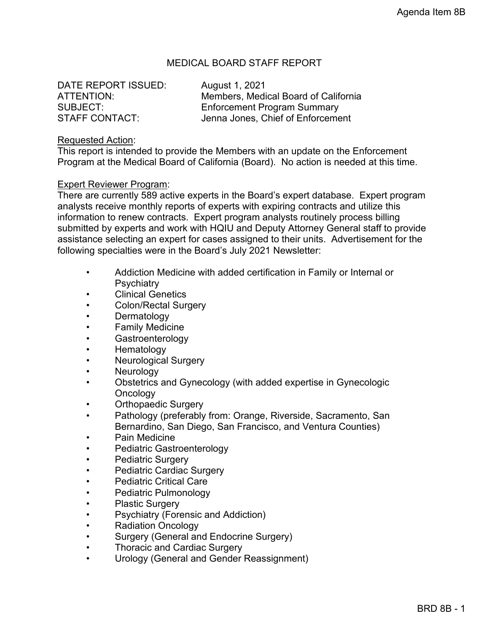# MEDICAL BOARD STAFF REPORT

DATE REPORT ISSUED: August 1, 2021

ATTENTION: Members, Medical Board of California SUBJECT: Enforcement Program Summary<br>STAFF CONTACT: STAFF CONTACT: Jenna Jones, Chief of Enforcement

#### Requested Action:

This report is intended to provide the Members with an update on the Enforcement Program at the Medical Board of California (Board). No action is needed at this time.

#### Expert Reviewer Program:

There are currently 589 active experts in the Board's expert database. Expert program analysts receive monthly reports of experts with expiring contracts and utilize this information to renew contracts. Expert program analysts routinely process billing submitted by experts and work with HQIU and Deputy Attorney General staff to provide assistance selecting an expert for cases assigned to their units. Advertisement for the following specialties were in the Board's July 2021 Newsletter:

- Addiction Medicine with added certification in Family or Internal or **Psychiatry**
- Clinical Genetics
- Colon/Rectal Surgery
- **Dermatology**
- Family Medicine
- **Gastroenterology**
- Hematology
- Neurological Surgery
- **Neurology**
- Obstetrics and Gynecology (with added expertise in Gynecologic **Oncology**
- Orthopaedic Surgery
- Pathology (preferably from: Orange, Riverside, Sacramento, San Bernardino, San Diego, San Francisco, and Ventura Counties)
- Pain Medicine
- Pediatric Gastroenterology
- Pediatric Surgery
- Pediatric Cardiac Surgery
- Pediatric Critical Care
- Pediatric Pulmonology
- Plastic Surgery
- Psychiatry (Forensic and Addiction)
- Radiation Oncology
- Surgery (General and Endocrine Surgery)
- Thoracic and Cardiac Surgery
- Urology (General and Gender Reassignment)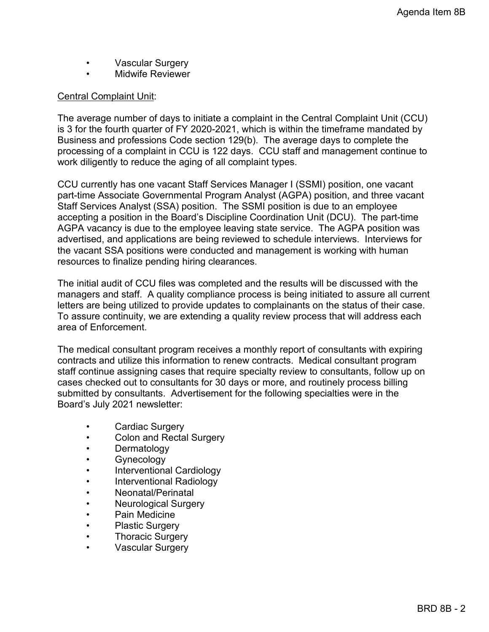- Vascular Surgery
- Midwife Reviewer

# Central Complaint Unit:

The average number of days to initiate a complaint in the Central Complaint Unit (CCU) is 3 for the fourth quarter of FY 2020-2021, which is within the timeframe mandated by Business and professions Code section 129(b). The average days to complete the processing of a complaint in CCU is 122 days. CCU staff and management continue to work diligently to reduce the aging of all complaint types.

CCU currently has one vacant Staff Services Manager I (SSMI) position, one vacant part-time Associate Governmental Program Analyst (AGPA) position, and three vacant Staff Services Analyst (SSA) position. The SSMI position is due to an employee accepting a position in the Board's Discipline Coordination Unit (DCU). The part-time AGPA vacancy is due to the employee leaving state service. The AGPA position was advertised, and applications are being reviewed to schedule interviews. Interviews for the vacant SSA positions were conducted and management is working with human resources to finalize pending hiring clearances.

The initial audit of CCU files was completed and the results will be discussed with the managers and staff. A quality compliance process is being initiated to assure all current letters are being utilized to provide updates to complainants on the status of their case. To assure continuity, we are extending a quality review process that will address each area of Enforcement.

The medical consultant program receives a monthly report of consultants with expiring contracts and utilize this information to renew contracts. Medical consultant program staff continue assigning cases that require specialty review to consultants, follow up on cases checked out to consultants for 30 days or more, and routinely process billing submitted by consultants. Advertisement for the following specialties were in the Board's July 2021 newsletter:

- Cardiac Surgery
- Colon and Rectal Surgery
- Dermatology
- Gynecology
- Interventional Cardiology
- Interventional Radiology
- Neonatal/Perinatal
- Neurological Surgery
- Pain Medicine
- Plastic Surgery
- Thoracic Surgery
- Vascular Surgery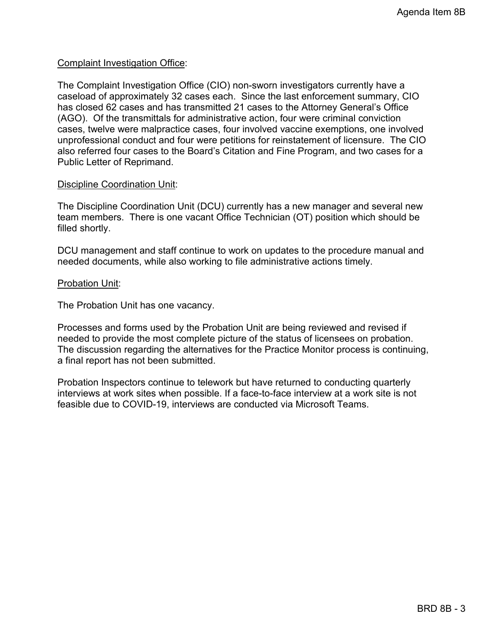## Complaint Investigation Office:

The Complaint Investigation Office (CIO) non-sworn investigators currently have a caseload of approximately 32 cases each. Since the last enforcement summary, CIO has closed 62 cases and has transmitted 21 cases to the Attorney General's Office (AGO). Of the transmittals for administrative action, four were criminal conviction cases, twelve were malpractice cases, four involved vaccine exemptions, one involved unprofessional conduct and four were petitions for reinstatement of licensure. The CIO also referred four cases to the Board's Citation and Fine Program, and two cases for a Public Letter of Reprimand.

### Discipline Coordination Unit:

The Discipline Coordination Unit (DCU) currently has a new manager and several new team members. There is one vacant Office Technician (OT) position which should be filled shortly.

DCU management and staff continue to work on updates to the procedure manual and needed documents, while also working to file administrative actions timely.

### Probation Unit:

The Probation Unit has one vacancy.

Processes and forms used by the Probation Unit are being reviewed and revised if needed to provide the most complete picture of the status of licensees on probation. The discussion regarding the alternatives for the Practice Monitor process is continuing, a final report has not been submitted.

Probation Inspectors continue to telework but have returned to conducting quarterly interviews at work sites when possible. If a face-to-face interview at a work site is not feasible due to COVID-19, interviews are conducted via Microsoft Teams.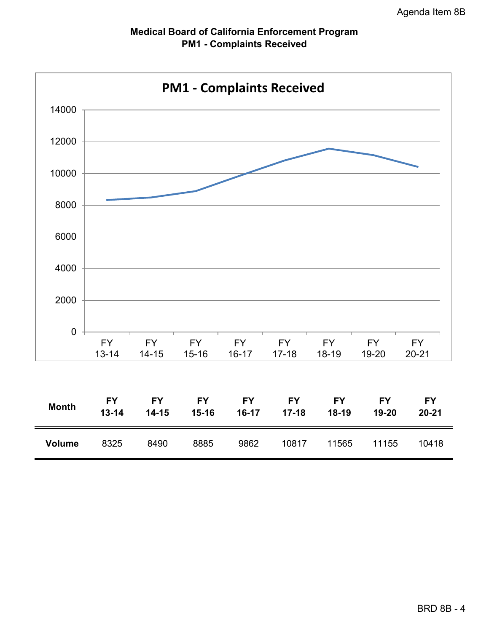

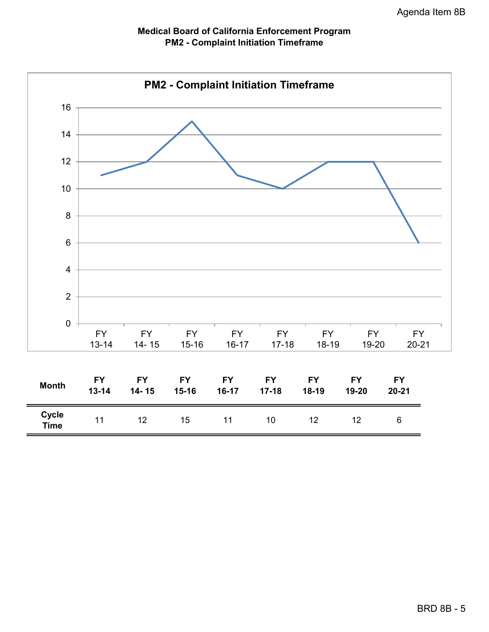

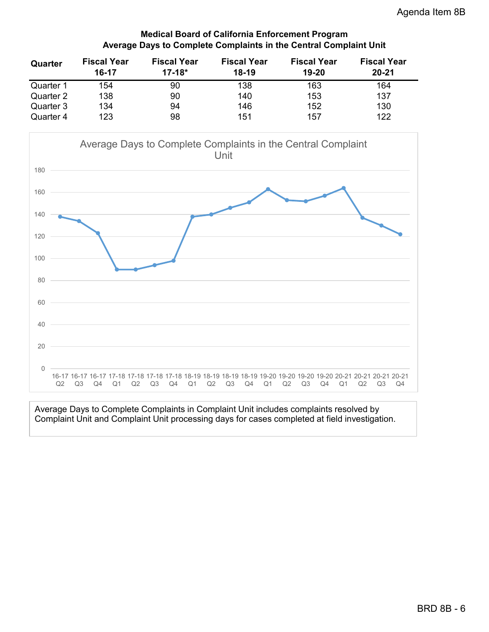## **Medical Board of California Enforcement Program Average Days to Complete Complaints in the Central Complaint Unit**

| Quarter   | <b>Fiscal Year</b> | <b>Fiscal Year</b> | <b>Fiscal Year</b> | <b>Fiscal Year</b> | <b>Fiscal Year</b> |
|-----------|--------------------|--------------------|--------------------|--------------------|--------------------|
|           | 16-17              | $17 - 18*$         | $18-19$            | 19-20              | $20 - 21$          |
| Quarter 1 | 154                | 90                 | 138                | 163                | 164                |
| Quarter 2 | 138                | 90                 | 140                | 153                | 137                |
| Quarter 3 | 134                | 94                 | 146                | 152                | 130                |
| Quarter 4 | 123                | 98                 | 151                | 157                | 122                |



Average Days to Complete Complaints in Complaint Unit includes complaints resolved by Complaint Unit and Complaint Unit processing days for cases completed at field investigation.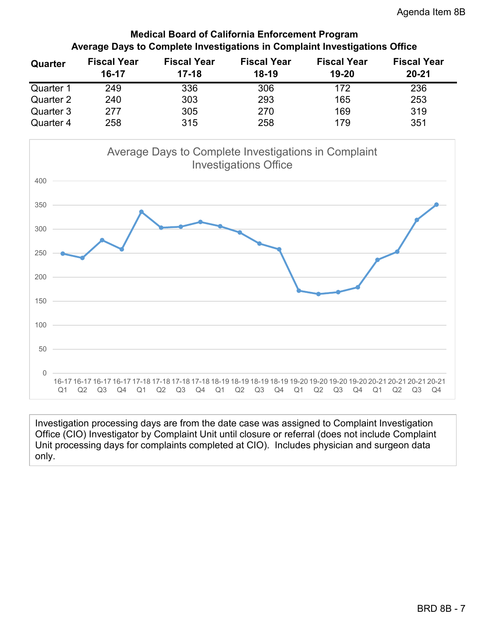# **Medical Board of California Enforcement Program Average Days to Complete Investigations in Complaint Investigations Office**

| Quarter   | <b>Fiscal Year</b> | <b>Fiscal Year</b> | <b>Fiscal Year</b> | <b>Fiscal Year</b> | <b>Fiscal Year</b> |
|-----------|--------------------|--------------------|--------------------|--------------------|--------------------|
|           | $16 - 17$          | $17 - 18$          | $18-19$            | 19-20              | $20 - 21$          |
| Quarter 1 | 249                | 336                | 306                | 172                | 236                |
| Quarter 2 | 240                | 303                | 293                | 165                | 253                |
| Quarter 3 | 277                | 305                | 270                | 169                | 319                |
| Quarter 4 | 258                | 315                | 258                | 179                | 351                |



Investigation processing days are from the date case was assigned to Complaint Investigation Office (CIO) Investigator by Complaint Unit until closure or referral (does not include Complaint Unit processing days for complaints completed at CIO). Includes physician and surgeon data only.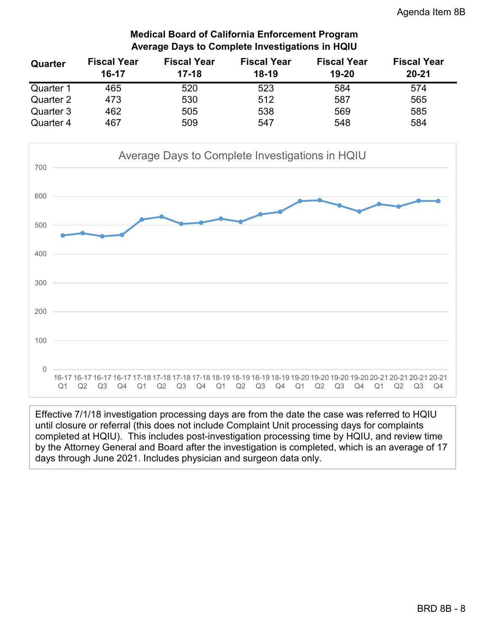# **Medical Board of California Enforcement Program Average Days to Complete Investigations in HQIU**

| Quarter   | <b>Fiscal Year</b> | <b>Fiscal Year</b> | <b>Fiscal Year</b> | <b>Fiscal Year</b> | <b>Fiscal Year</b> |
|-----------|--------------------|--------------------|--------------------|--------------------|--------------------|
|           | $16-17$            | $17 - 18$          | $18-19$            | 19-20              | $20 - 21$          |
| Quarter 1 | 465                | 520                | 523                | 584                | 574                |
| Quarter 2 | 473                | 530                | 512                | 587                | 565                |
| Quarter 3 | 462                | 505                | 538                | 569                | 585                |
| Quarter 4 | 467                | 509                | 547                | 548                | 584                |



Effective 7/1/18 investigation processing days are from the date the case was referred to HQIU until closure or referral (this does not include Complaint Unit processing days for complaints completed at HQIU). This includes post-investigation processing time by HQIU, and review time by the Attorney General and Board after the investigation is completed, which is an average of 17 days through June 2021. Includes physician and surgeon data only.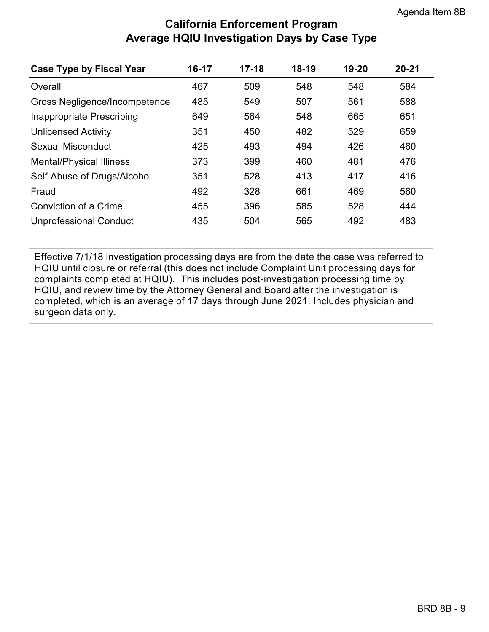# **California Enforcement Program Average HQIU Investigation Days by Case Type**

| <b>Case Type by Fiscal Year</b> | 16-17 | $17 - 18$ | $18-19$ | 19-20 | $20 - 21$ |
|---------------------------------|-------|-----------|---------|-------|-----------|
| Overall                         | 467   | 509       | 548     | 548   | 584       |
| Gross Negligence/Incompetence   | 485   | 549       | 597     | 561   | 588       |
| Inappropriate Prescribing       | 649   | 564       | 548     | 665   | 651       |
| <b>Unlicensed Activity</b>      | 351   | 450       | 482     | 529   | 659       |
| Sexual Misconduct               | 425   | 493       | 494     | 426   | 460       |
| <b>Mental/Physical Illiness</b> | 373   | 399       | 460     | 481   | 476       |
| Self-Abuse of Drugs/Alcohol     | 351   | 528       | 413     | 417   | 416       |
| Fraud                           | 492   | 328       | 661     | 469   | 560       |
| Conviction of a Crime           | 455   | 396       | 585     | 528   | 444       |
| <b>Unprofessional Conduct</b>   | 435   | 504       | 565     | 492   | 483       |

Effective 7/1/18 investigation processing days are from the date the case was referred to HQIU until closure or referral (this does not include Complaint Unit processing days for complaints completed at HQIU). This includes post-investigation processing time by HQIU, and review time by the Attorney General and Board after the investigation is completed, which is an average of 17 days through June 2021. Includes physician and surgeon data only.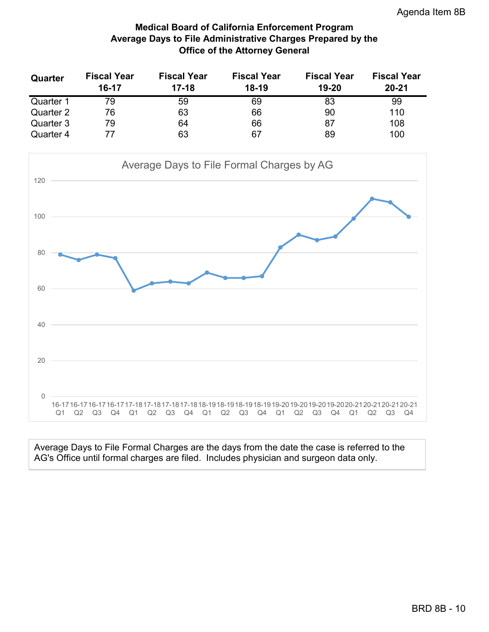# **Medical Board of California Enforcement Program Average Days to File Administrative Charges Prepared by the Office of the Attorney General**

| Quarter   | <b>Fiscal Year</b><br>16-17 | <b>Fiscal Year</b><br>$17-18$ | <b>Fiscal Year</b><br>$18-19$ | <b>Fiscal Year</b><br>19-20 | <b>Fiscal Year</b><br>$20 - 21$ |
|-----------|-----------------------------|-------------------------------|-------------------------------|-----------------------------|---------------------------------|
| Quarter 1 | 79                          | 59                            | 69                            | 83                          | 99                              |
| Quarter 2 | 76                          | 63                            | 66                            | 90                          | 110                             |
| Quarter 3 | 79                          | 64                            | 66                            | 87                          | 108                             |
| Quarter 4 |                             | 63                            | 67                            | 89                          | 100                             |



Average Days to File Formal Charges are the days from the date the case is referred to the AG's Office until formal charges are filed. Includes physician and surgeon data only.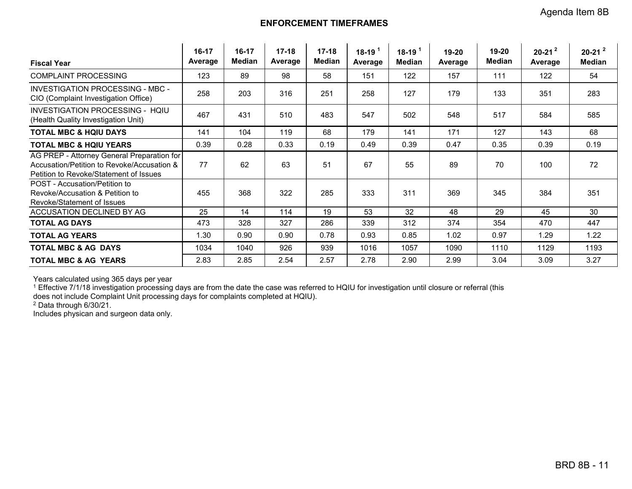### **ENFORCEMENT TIMEFRAMES**

| <b>Fiscal Year</b>                                                                                                                 | 16-17<br>Average | 16-17<br><b>Median</b> | $17 - 18$<br>Average | $17 - 18$<br><b>Median</b> | $18-19$ <sup>1</sup><br>Average | $18-19$ <sup>1</sup><br>Median | 19-20<br>Average | 19-20<br><b>Median</b> | $20-21^2$<br>Average | $20-21^2$<br><b>Median</b> |
|------------------------------------------------------------------------------------------------------------------------------------|------------------|------------------------|----------------------|----------------------------|---------------------------------|--------------------------------|------------------|------------------------|----------------------|----------------------------|
| <b>COMPLAINT PROCESSING</b>                                                                                                        | 123              | 89                     | 98                   | 58                         | 151                             | 122                            | 157              | 111                    | 122                  | 54                         |
| INVESTIGATION PROCESSING - MBC -<br>CIO (Complaint Investigation Office)                                                           | 258              | 203                    | 316                  | 251                        | 258                             | 127                            | 179              | 133                    | 351                  | 283                        |
| INVESTIGATION PROCESSING - HOIU<br>(Health Quality Investigation Unit)                                                             | 467              | 431                    | 510                  | 483                        | 547                             | 502                            | 548              | 517                    | 584                  | 585                        |
| <b>TOTAL MBC &amp; HOIU DAYS</b>                                                                                                   | 141              | 104                    | 119                  | 68                         | 179                             | 141                            | 171              | 127                    | 143                  | 68                         |
| <b>TOTAL MBC &amp; HQIU YEARS</b>                                                                                                  | 0.39             | 0.28                   | 0.33                 | 0.19                       | 0.49                            | 0.39                           | 0.47             | 0.35                   | 0.39                 | 0.19                       |
| AG PREP - Attorney General Preparation for<br>Accusation/Petition to Revoke/Accusation &<br>Petition to Revoke/Statement of Issues | 77               | 62                     | 63                   | 51                         | 67                              | 55                             | 89               | 70                     | 100                  | 72                         |
| POST - Accusation/Petition to<br>Revoke/Accusation & Petition to<br>Revoke/Statement of Issues                                     | 455              | 368                    | 322                  | 285                        | 333                             | 311                            | 369              | 345                    | 384                  | 351                        |
| ACCUSATION DECLINED BY AG                                                                                                          | 25               | 14                     | 114                  | 19                         | 53                              | 32                             | 48               | 29                     | 45                   | 30                         |
| <b>TOTAL AG DAYS</b>                                                                                                               | 473              | 328                    | 327                  | 286                        | 339                             | 312                            | 374              | 354                    | 470                  | 447                        |
| <b>TOTAL AG YEARS</b>                                                                                                              | 1.30             | 0.90                   | 0.90                 | 0.78                       | 0.93                            | 0.85                           | 1.02             | 0.97                   | 1.29                 | 1.22                       |
| <b>TOTAL MBC &amp; AG DAYS</b>                                                                                                     | 1034             | 1040                   | 926                  | 939                        | 1016                            | 1057                           | 1090             | 1110                   | 1129                 | 1193                       |
| <b>TOTAL MBC &amp; AG YEARS</b>                                                                                                    | 2.83             | 2.85                   | 2.54                 | 2.57                       | 2.78                            | 2.90                           | 2.99             | 3.04                   | 3.09                 | 3.27                       |

Years calculated using 365 days per year

 $^{\rm 1}$  Effective 7/1/18 investigation processing days are from the date the case was referred to HQIU for investigation until closure or referral (this

does not include Complaint Unit processing days for complaints completed at HQIU).

2 Data through 6/30/21.

Includes physican and surgeon data only.